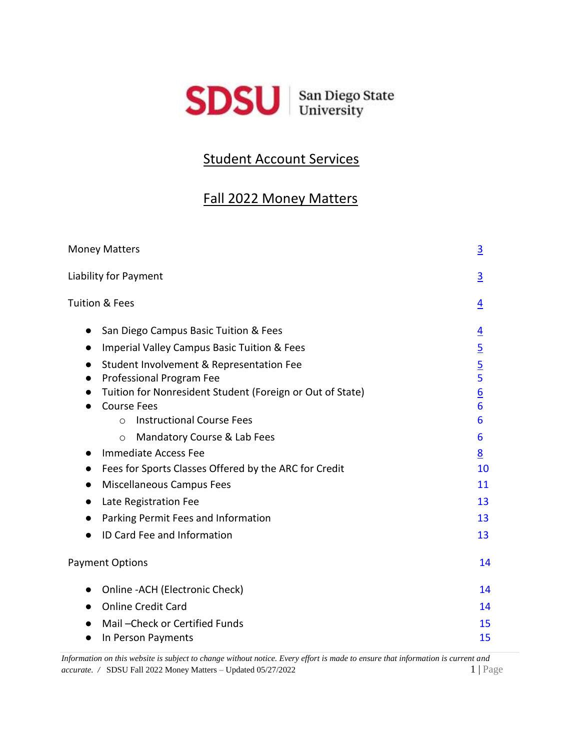

# Student Account Services

# Fall 2022 Money Matters

| <b>Money Matters</b>                                                                                                                                                              | $\overline{3}$                      |
|-----------------------------------------------------------------------------------------------------------------------------------------------------------------------------------|-------------------------------------|
| Liability for Payment                                                                                                                                                             | $\overline{3}$                      |
| <b>Tuition &amp; Fees</b>                                                                                                                                                         | $\overline{4}$                      |
| San Diego Campus Basic Tuition & Fees<br>$\bullet$<br><b>Imperial Valley Campus Basic Tuition &amp; Fees</b><br>$\bullet$                                                         | $\overline{4}$<br>$\overline{5}$    |
| Student Involvement & Representation Fee<br>$\bullet$<br>Professional Program Fee<br>$\bullet$<br>Tuition for Nonresident Student (Foreign or Out of State)<br><b>Course Fees</b> | $rac{5}{5}$<br>$\underline{6}$<br>6 |
| <b>Instructional Course Fees</b><br>$\Omega$<br>Mandatory Course & Lab Fees<br>$\circ$                                                                                            | 6<br>6                              |
| Immediate Access Fee<br>$\bullet$<br>Fees for Sports Classes Offered by the ARC for Credit<br>$\bullet$<br>Miscellaneous Campus Fees                                              | 8<br>10<br>11                       |
| Late Registration Fee<br>Parking Permit Fees and Information                                                                                                                      | 13<br>13                            |
| ID Card Fee and Information                                                                                                                                                       | 13                                  |
| <b>Payment Options</b>                                                                                                                                                            | 14                                  |
| Online - ACH (Electronic Check)<br>$\bullet$<br><b>Online Credit Card</b><br>$\bullet$                                                                                            | 14<br>14                            |
| Mail-Check or Certified Funds<br>In Person Payments                                                                                                                               | 15<br>15                            |

*Information on this website is subject to change without notice. Every effort is made to ensure that information is current and accurate. /* SDSU Fall 2022 Money Matters – Updated 05/27/20221 | Page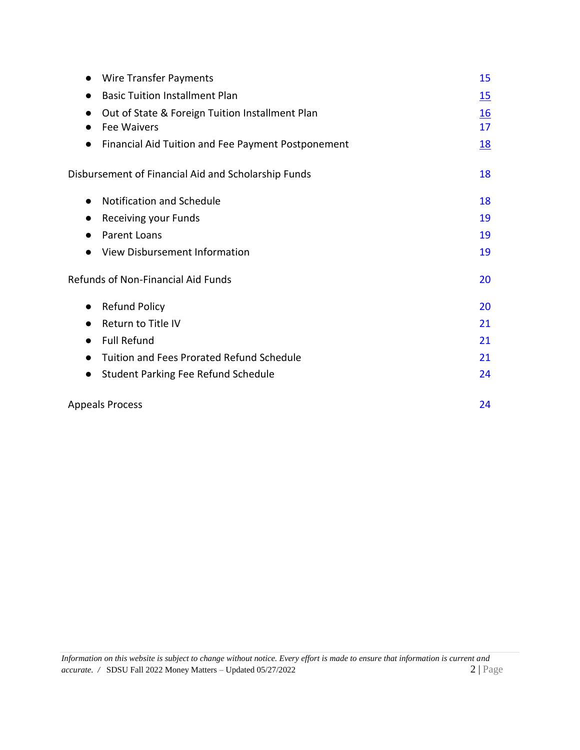| <b>Wire Transfer Payments</b>                                         | 15                     |
|-----------------------------------------------------------------------|------------------------|
| <b>Basic Tuition Installment Plan</b>                                 | <u>15</u>              |
| Out of State & Foreign Tuition Installment Plan<br><b>Fee Waivers</b> | $\underline{16}$<br>17 |
| Financial Aid Tuition and Fee Payment Postponement<br>$\bullet$       | <u>18</u>              |
| Disbursement of Financial Aid and Scholarship Funds                   | 18                     |
| Notification and Schedule<br>$\bullet$                                | 18                     |
| Receiving your Funds<br>$\bullet$                                     | 19                     |
| Parent Loans<br>$\bullet$                                             | 19                     |
| View Disbursement Information                                         | 19                     |
| Refunds of Non-Financial Aid Funds                                    | 20                     |
| <b>Refund Policy</b><br>$\bullet$                                     | 20                     |
| Return to Title IV<br>$\bullet$                                       | 21                     |
| <b>Full Refund</b><br>$\bullet$                                       | 21                     |
| Tuition and Fees Prorated Refund Schedule<br>$\bullet$                | 21                     |
| Student Parking Fee Refund Schedule<br>$\bullet$                      | 24                     |
| <b>Appeals Process</b>                                                | 24                     |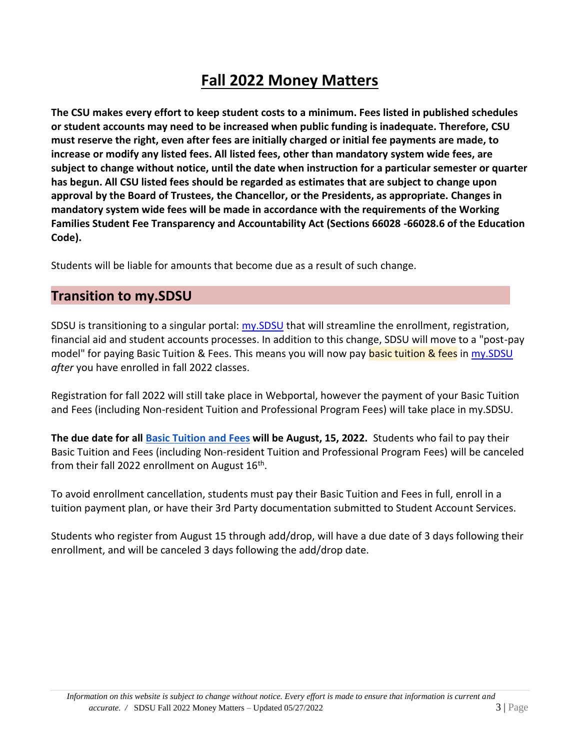# **Fall 2022 Money Matters**

<span id="page-2-0"></span>**The CSU makes every effort to keep student costs to a minimum. Fees listed in published schedules or student accounts may need to be increased when public funding is inadequate. Therefore, CSU must reserve the right, even after fees are initially charged or initial fee payments are made, to increase or modify any listed fees. All listed fees, other than mandatory system wide fees, are subject to change without notice, until the date when instruction for a particular semester or quarter has begun. All CSU listed fees should be regarded as estimates that are subject to change upon approval by the Board of Trustees, the Chancellor, or the Presidents, as appropriate. Changes in mandatory system wide fees will be made in accordance with the requirements of the Working Families Student Fee Transparency and Accountability Act (Sections 66028 -66028.6 of the Education Code).**

Students will be liable for amounts that become due as a result of such change.

### **Transition to my.SDSU**

SDSU is transitioning to a singular portal: [my.SDSU](https://my.sdsu.edu/) that will streamline the enrollment, registration, financial aid and student accounts processes. In addition to this change, SDSU will move to a "post-pay model" for paying Basic Tuition & Fees. This means you will now pay basic tuition & fees in [my.SDSU](https://my.sdsu.edu/) *after* you have enrolled in fall 2022 classes.

Registration for fall 2022 will still take place in Webportal, however the payment of your Basic Tuition and Fees (including Non-resident Tuition and Professional Program Fees) will take place in my.SDSU.

**The due date for all [Basic Tuition and](https://bfa.sdsu.edu/financial/student/tuition) [Fees](https://bfa.sdsu.edu/financial/student/tuition) will be August, 15, 2022.** Students who fail to pay their Basic Tuition and Fees (including Non-resident Tuition and Professional Program Fees) will be canceled from their fall 2022 enrollment on August  $16^{\text{th}}$ .

To avoid enrollment cancellation, students must pay their Basic Tuition and Fees in full, enroll in a tuition payment plan, or have their 3rd Party documentation submitted to Student Account Services.

Students who register from August 15 through add/drop, will have a due date of 3 days following their enrollment, and will be canceled 3 days following the add/drop date.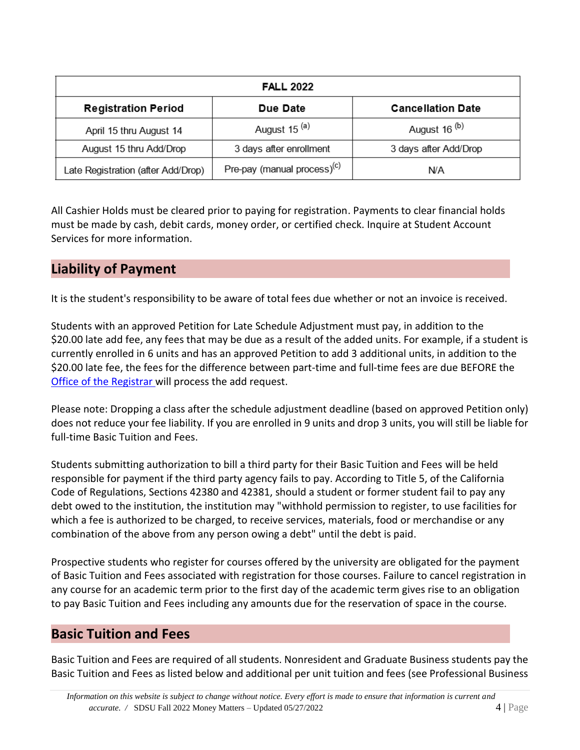| <b>FALL 2022</b>                   |                                         |                          |  |  |
|------------------------------------|-----------------------------------------|--------------------------|--|--|
| <b>Registration Period</b>         | Due Date                                | <b>Cancellation Date</b> |  |  |
| April 15 thru August 14            | August 15 <sup>(a)</sup>                | August 16 <sup>(b)</sup> |  |  |
| August 15 thru Add/Drop            | 3 days after enrollment                 | 3 days after Add/Drop    |  |  |
| Late Registration (after Add/Drop) | Pre-pay (manual process) <sup>(c)</sup> | N/A                      |  |  |

All Cashier Holds must be cleared prior to paying for registration. Payments to clear financial holds must be made by cash, debit cards, money order, or certified check. Inquire at Student Account Services for more information.

### **Liability of Payment**

It is the student's responsibility to be aware of total fees due whether or not an invoice is received.

Students with an approved Petition for Late Schedule Adjustment must pay, in addition to the \$20.00 late add fee, any fees that may be due as a result of the added units. For example, if a student is currently enrolled in 6 units and has an approved Petition to add 3 additional units, in addition to the \$20.00 late fee, the fees for the difference between part-time and full-time fees are due BEFORE the [Office of the Registrar](http://www.sdsu.edu/registrar) will process the add request.

Please note: Dropping a class after the schedule adjustment deadline (based on approved Petition only) does not reduce your fee liability. If you are enrolled in 9 units and drop 3 units, you will still be liable for full-time Basic Tuition and Fees.

Students submitting authorization to bill a third party for their Basic Tuition and Fees will be held responsible for payment if the third party agency fails to pay. According to Title 5, of the California Code of Regulations, Sections 42380 and 42381, should a student or former student fail to pay any debt owed to the institution, the institution may "withhold permission to register, to use facilities for which a fee is authorized to be charged, to receive services, materials, food or merchandise or any combination of the above from any person owing a debt" until the debt is paid.

Prospective students who register for courses offered by the university are obligated for the payment of Basic Tuition and Fees associated with registration for those courses. Failure to cancel registration in any course for an academic term prior to the first day of the academic term gives rise to an obligation to pay Basic Tuition and Fees including any amounts due for the reservation of space in the course.

### **Basic Tuition and Fees**

<span id="page-3-0"></span>Basic Tuition and Fees are required of all students. Nonresident and Graduate Business students pay the Basic Tuition and Fees as listed below and additional per unit tuition and fees (see Professional Business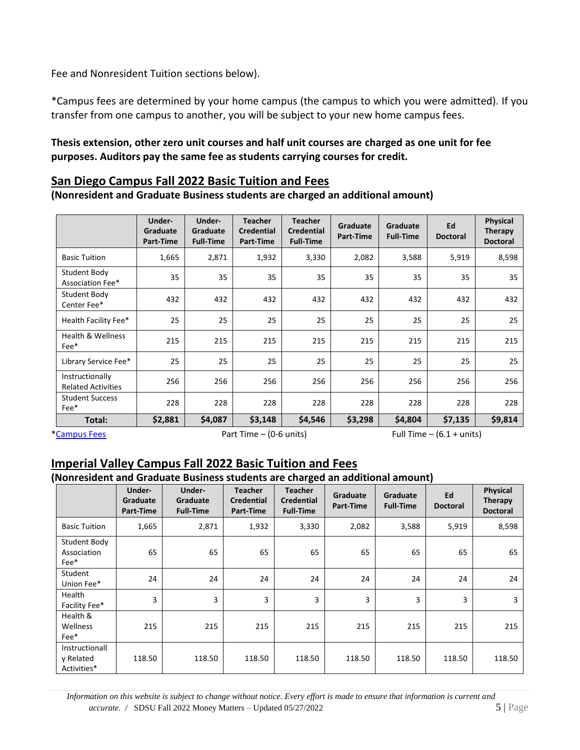Fee and Nonresident Tuition sections below).

\*Campus fees are determined by your home campus (the campus to which you were admitted). If you transfer from one campus to another, you will be subject to your new home campus fees.

#### **Thesis extension, other zero unit courses and half unit courses are charged as one unit for fee purposes. Auditors pay the same fee as students carrying courses for credit.**

#### <span id="page-4-0"></span>**San Diego Campus Fall 2022 Basic Tuition and Fees**

**(Nonresident and Graduate Business students are charged an additional amount)**

|                                              | Under-<br>Graduate<br>Part-Time | Under-<br>Graduate<br><b>Full-Time</b> | <b>Teacher</b><br><b>Credential</b><br>Part-Time | <b>Teacher</b><br><b>Credential</b><br><b>Full-Time</b> | Graduate<br>Part-Time | Graduate<br><b>Full-Time</b> | Ed<br><b>Doctoral</b> | Physical<br><b>Therapy</b><br><b>Doctoral</b> |
|----------------------------------------------|---------------------------------|----------------------------------------|--------------------------------------------------|---------------------------------------------------------|-----------------------|------------------------------|-----------------------|-----------------------------------------------|
| <b>Basic Tuition</b>                         | 1,665                           | 2,871                                  | 1,932                                            | 3,330                                                   | 2,082                 | 3,588                        | 5,919                 | 8,598                                         |
| Student Body<br>Association Fee*             | 35                              | 35                                     | 35                                               | 35                                                      | 35                    | 35                           | 35                    | 35                                            |
| <b>Student Body</b><br>Center Fee*           | 432                             | 432                                    | 432                                              | 432                                                     | 432                   | 432                          | 432                   | 432                                           |
| Health Facility Fee*                         | 25                              | 25                                     | 25                                               | 25                                                      | 25                    | 25                           | 25                    | 25                                            |
| <b>Health &amp; Wellness</b><br>Fee*         | 215                             | 215                                    | 215                                              | 215                                                     | 215                   | 215                          | 215                   | 215                                           |
| Library Service Fee*                         | 25                              | 25                                     | 25                                               | 25                                                      | 25                    | 25                           | 25                    | 25                                            |
| Instructionally<br><b>Related Activities</b> | 256                             | 256                                    | 256                                              | 256                                                     | 256                   | 256                          | 256                   | 256                                           |
| <b>Student Success</b><br>Fee*               | 228                             | 228                                    | 228                                              | 228                                                     | 228                   | 228                          | 228                   | 228                                           |
| Total:                                       | \$2,881                         | \$4,087                                | \$3,148                                          | \$4,546                                                 | \$3,298               | \$4,804                      | \$7,135               | \$9,814                                       |

<span id="page-4-1"></span>

[\\*Campus Fees](https://bfa.sdsu.edu/financial/student/campusfees) Part Time – (0-6 units) Full Time – (6.1 + units)

### **Imperial Valley Campus Fall 2022 Basic Tuition and Fees**

#### **(Nonresident and Graduate Business students are charged an additional amount)**

|                                            | Under-<br>Graduate<br>Part-Time | Under-<br>Graduate<br><b>Full-Time</b> | <b>Teacher</b><br><b>Credential</b><br>Part-Time | <b>Teacher</b><br><b>Credential</b><br><b>Full-Time</b> | Graduate<br>Part-Time | Graduate<br><b>Full-Time</b> | Ed<br><b>Doctoral</b> | Physical<br>Therapy<br><b>Doctoral</b> |
|--------------------------------------------|---------------------------------|----------------------------------------|--------------------------------------------------|---------------------------------------------------------|-----------------------|------------------------------|-----------------------|----------------------------------------|
| <b>Basic Tuition</b>                       | 1,665                           | 2,871                                  | 1,932                                            | 3,330                                                   | 2,082                 | 3,588                        | 5,919                 | 8,598                                  |
| Student Body<br>Association<br>Fee*        | 65                              | 65                                     | 65                                               | 65                                                      | 65                    | 65                           | 65                    | 65                                     |
| Student<br>Union Fee*                      | 24                              | 24                                     | 24                                               | 24                                                      | 24                    | 24                           | 24                    | 24                                     |
| Health<br>Facility Fee*                    | 3                               | 3                                      | 3                                                | 3                                                       | 3                     | 3                            | 3                     | 3                                      |
| Health &<br>Wellness<br>Fee*               | 215                             | 215                                    | 215                                              | 215                                                     | 215                   | 215                          | 215                   | 215                                    |
| Instructionall<br>y Related<br>Activities* | 118.50                          | 118.50                                 | 118.50                                           | 118.50                                                  | 118.50                | 118.50                       | 118.50                | 118.50                                 |

 *Information on this website is subject to change without notice. Every effort is made to ensure that information is current and accurate. /* SDSU Fall 2022 Money Matters – Updated 05/27/20225 | Page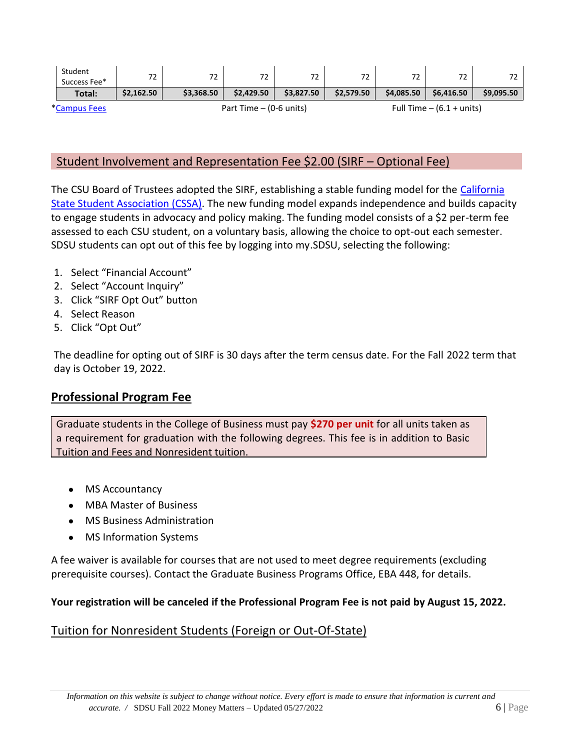| Student<br>Success Fee* | 72         | 72                        | 72         | 72         | 72         | 72         | 72                          |            |
|-------------------------|------------|---------------------------|------------|------------|------------|------------|-----------------------------|------------|
| Total:                  | \$2,162.50 | \$3,368.50                | \$2,429.50 | \$3.827.50 | \$2.579.50 | \$4,085.50 | \$6.416.50                  | \$9,095.50 |
| <i>*Campus Fees</i>     |            | Part Time $-$ (0-6 units) |            |            |            |            | Full Time $-$ (6.1 + units) |            |

#### <span id="page-5-0"></span>Student Involvement and Representation Fee \$2.00 (SIRF – Optional Fee)

The CSU Board of Trustees adopted the SIRF, establishing a stable funding model for the [California](http://www.csustudents.org/)  [State Student Association \(CSSA\).](http://www.csustudents.org/) The new funding model expands independence and builds capacity to engage students in advocacy and policy making. The funding model consists of a \$2 per-term fee assessed to each CSU student, on a voluntary basis, allowing the choice to opt-out each semester. SDSU students can opt out of this fee by logging into my.SDSU, selecting the following:

- 1. Select "Financial Account"
- 2. Select "Account Inquiry"
- 3. Click "SIRF Opt Out" button
- 4. Select Reason
- 5. Click "Opt Out"

The deadline for opting out of SIRF is 30 days after the term census date. For the Fall 2022 term that day is October 19, 2022.

#### <span id="page-5-1"></span>**Professional Program Fee**

Graduate students in the College of Business must pay **\$270 per unit** for all units taken as a requirement for graduation with the following degrees. This fee is in addition to Basic Tuition and Fees and Nonresident tuition.

- MS Accountancy
- MBA Master of Business
- MS Business Administration
- MS Information Systems

A fee waiver is available for courses that are not used to meet degree requirements (excluding prerequisite courses). Contact the Graduate Business Programs Office, EBA 448, for details.

#### **Your registration will be canceled if the Professional Program Fee is not paid by August 15, 2022.**

#### <span id="page-5-2"></span>Tuition for Nonresident Students (Foreign or Out-Of-State)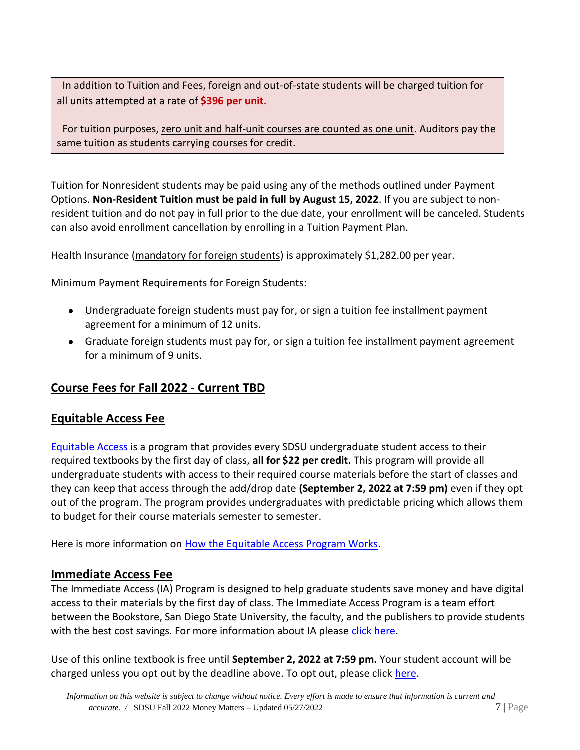In addition to Tuition and Fees, foreign and out-of-state students will be charged tuition for all units attempted at a rate of **\$396 per unit**.

For tuition purposes, zero unit and half-unit courses are counted as one unit. Auditors pay the same tuition as students carrying courses for credit.

Tuition for Nonresident students may be paid using any of the methods outlined under Payment Options. **Non-Resident Tuition must be paid in full by August 15, 2022**. If you are subject to nonresident tuition and do not pay in full prior to the due date, your enrollment will be canceled. Students can also avoid enrollment cancellation by enrolling in a Tuition Payment Plan.

Health Insurance (mandatory for foreign students) is approximately \$1,282.00 per year.

Minimum Payment Requirements for Foreign Students:

- Undergraduate foreign students must pay for, or sign a tuition fee installment payment agreement for a minimum of 12 units.
- Graduate foreign students must pay for, or sign a tuition fee installment payment agreement for a minimum of 9 units.

### <span id="page-6-0"></span>**Course Fees for Fall 2022 - Current TBD**

### <span id="page-6-1"></span>**Equitable Access Fee**

[Equitable Access](https://www.shopaztecs.com/t-equitableaccess.aspx) is a program that provides every SDSU undergraduate student access to their required textbooks by the first day of class, **all for \$22 per credit.** This program will provide all undergraduate students with access to their required course materials before the start of classes and they can keep that access through the add/drop date **(September 2, 2022 at 7:59 pm)** even if they opt out of the program. The program provides undergraduates with predictable pricing which allows them to budget for their course materials semester to semester.

Here is more information on [How the Equitable Access Program Works.](https://youtu.be/6fXigmi4mAE)

#### <span id="page-6-2"></span>**Immediate Access Fee**

The Immediate Access (IA) Program is designed to help graduate students save money and have digital access to their materials by the first day of class. The Immediate Access Program is a team effort between the Bookstore, San Diego State University, the faculty, and the publishers to provide students with the best cost savings. For more information about IA please [click here.](https://www.shopaztecs.com/t-immediateaccess-faq.aspx)

Use of this online textbook is free until **September 2, 2022 at 7:59 pm.** Your student account will be charged unless you opt out by the deadline above. To opt out, please click [here.](https://eva.aztecshops.com/immediateaccess)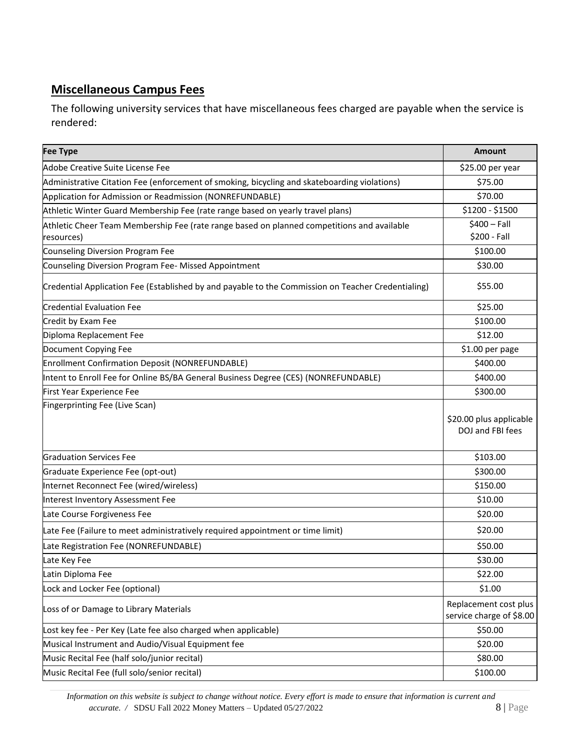### **Miscellaneous Campus Fees**

The following university services that have miscellaneous fees charged are payable when the service is rendered:

| <b>Fee Type</b>                                                                                    | <b>Amount</b>                                     |
|----------------------------------------------------------------------------------------------------|---------------------------------------------------|
| Adobe Creative Suite License Fee                                                                   | \$25.00 per year                                  |
| Administrative Citation Fee (enforcement of smoking, bicycling and skateboarding violations)       | \$75.00                                           |
| Application for Admission or Readmission (NONREFUNDABLE)                                           | \$70.00                                           |
| Athletic Winter Guard Membership Fee (rate range based on yearly travel plans)                     | \$1200 - \$1500                                   |
| Athletic Cheer Team Membership Fee (rate range based on planned competitions and available         | $$400 - Fall$                                     |
| resources)                                                                                         | \$200 - Fall                                      |
| Counseling Diversion Program Fee                                                                   | \$100.00                                          |
| Counseling Diversion Program Fee- Missed Appointment                                               | \$30.00                                           |
| Credential Application Fee (Established by and payable to the Commission on Teacher Credentialing) | \$55.00                                           |
| <b>Credential Evaluation Fee</b>                                                                   | \$25.00                                           |
| Credit by Exam Fee                                                                                 | \$100.00                                          |
| Diploma Replacement Fee                                                                            | \$12.00                                           |
| Document Copying Fee                                                                               | \$1.00 per page                                   |
| <b>Enrollment Confirmation Deposit (NONREFUNDABLE)</b>                                             | \$400.00                                          |
| Intent to Enroll Fee for Online BS/BA General Business Degree (CES) (NONREFUNDABLE)                | \$400.00                                          |
| First Year Experience Fee                                                                          | \$300.00                                          |
| Fingerprinting Fee (Live Scan)                                                                     | \$20.00 plus applicable<br>DOJ and FBI fees       |
| <b>Graduation Services Fee</b>                                                                     | \$103.00                                          |
| Graduate Experience Fee (opt-out)                                                                  | \$300.00                                          |
| Internet Reconnect Fee (wired/wireless)                                                            | \$150.00                                          |
| Interest Inventory Assessment Fee                                                                  | \$10.00                                           |
| Late Course Forgiveness Fee                                                                        | \$20.00                                           |
| Late Fee (Failure to meet administratively required appointment or time limit)                     | \$20.00                                           |
| Late Registration Fee (NONREFUNDABLE)                                                              | \$50.00                                           |
| Late Key Fee                                                                                       | \$30.00                                           |
| Latin Diploma Fee                                                                                  | \$22.00                                           |
| Lock and Locker Fee (optional)                                                                     | \$1.00                                            |
| Loss of or Damage to Library Materials                                                             | Replacement cost plus<br>service charge of \$8.00 |
| Lost key fee - Per Key (Late fee also charged when applicable)                                     | \$50.00                                           |
| Musical Instrument and Audio/Visual Equipment fee                                                  | \$20.00                                           |
| Music Recital Fee (half solo/junior recital)                                                       | \$80.00                                           |
| Music Recital Fee (full solo/senior recital)                                                       | \$100.00                                          |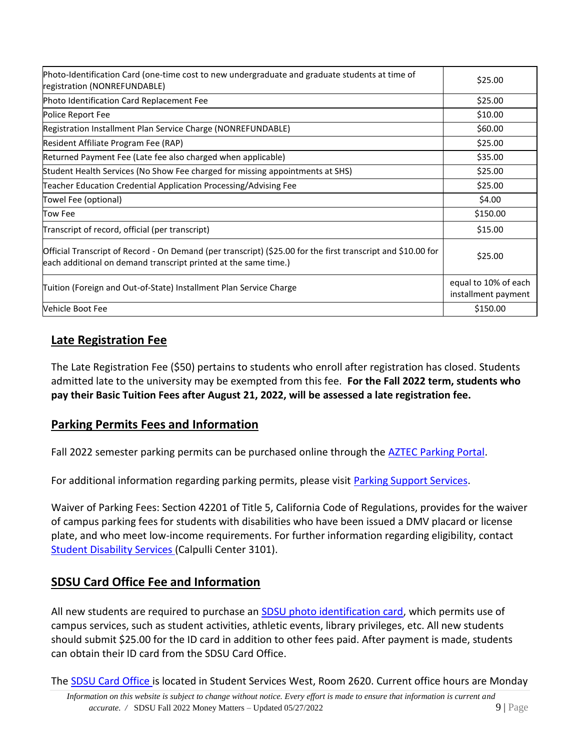| Photo-Identification Card (one-time cost to new undergraduate and graduate students at time of<br>registration (NONREFUNDABLE)                                                  | \$25.00                                     |
|---------------------------------------------------------------------------------------------------------------------------------------------------------------------------------|---------------------------------------------|
| Photo Identification Card Replacement Fee                                                                                                                                       | \$25.00                                     |
| Police Report Fee                                                                                                                                                               | \$10.00                                     |
| Registration Installment Plan Service Charge (NONREFUNDABLE)                                                                                                                    | \$60.00                                     |
| Resident Affiliate Program Fee (RAP)                                                                                                                                            | \$25.00                                     |
| Returned Payment Fee (Late fee also charged when applicable)                                                                                                                    | \$35.00                                     |
| Student Health Services (No Show Fee charged for missing appointments at SHS)                                                                                                   | \$25.00                                     |
| Teacher Education Credential Application Processing/Advising Fee                                                                                                                | \$25.00                                     |
| Towel Fee (optional)                                                                                                                                                            | \$4.00                                      |
| Tow Fee                                                                                                                                                                         | \$150.00                                    |
| Transcript of record, official (per transcript)                                                                                                                                 | \$15.00                                     |
| Official Transcript of Record - On Demand (per transcript) (\$25.00 for the first transcript and \$10.00 for<br>each additional on demand transcript printed at the same time.) | \$25.00                                     |
| Tuition (Foreign and Out-of-State) Installment Plan Service Charge                                                                                                              | equal to 10% of each<br>installment payment |
| Vehicle Boot Fee                                                                                                                                                                | \$150.00                                    |

### <span id="page-8-0"></span>**Late Registration Fee**

The Late Registration Fee (\$50) pertains to students who enroll after registration has closed. Students admitted late to the university may be exempted from this fee. **For the Fall 2022 term, students who pay their Basic Tuition Fees after August 21, 2022, will be assessed a late registration fee.**

### <span id="page-8-1"></span>**Parking Permits Fees and Information**

Fall 2022 semester parking permits can be purchased online through the **AZTEC Parking Portal**.

For additional information regarding parking permits, please visit **Parking Support Services**.

Waiver of Parking Fees: Section 42201 of Title 5, California Code of Regulations, provides for the waiver of campus parking fees for students with disabilities who have been issued a DMV placard or license plate, and who meet low-income requirements. For further information regarding eligibility, contact [Student Disability Services](http://www.sa.sdsu.edu/sds) (Calpulli Center 3101).

### <span id="page-8-2"></span>**SDSU Card Office Fee and Information**

All new students are required to purchase an [SDSU photo identification card,](http://sdsucard.sdsu.edu/) which permits use of campus services, such as student activities, athletic events, library privileges, etc. All new students should submit \$25.00 for the ID card in addition to other fees paid. After payment is made, students can obtain their ID card from the SDSU Card Office.

The [SDSU Card Office i](http://sdsucard.sdsu.edu/)s located in Student Services West, Room 2620. Current office hours are Monday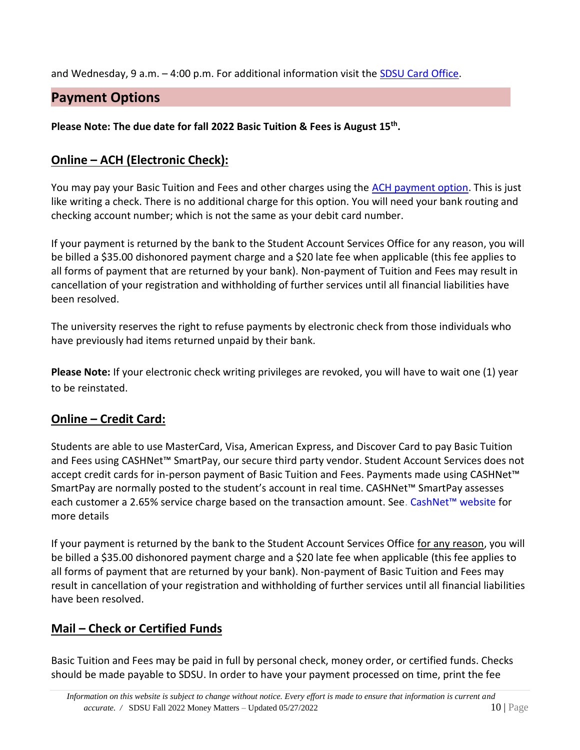and Wednesday, 9 a.m. – 4:00 p.m. For additional information visit the [SDSU Card Office.](https://bfa.sdsu.edu/financial/student/sdsucard)

### <span id="page-9-0"></span>**Payment Options**

**Please Note: The due date for fall 2022 Basic Tuition & Fees is August 15th .**

### <span id="page-9-1"></span>**Online – ACH (Electronic Check):**

You may pay your Basic Tuition and Fees and other charges using the [ACH payment option.](https://commerce.cashnet.com/sdsuebill) This is just like writing a check. There is no additional charge for this option. You will need your bank routing and checking account number; which is not the same as your debit card number.

If your payment is returned by the bank to the Student Account Services Office for any reason, you will be billed a \$35.00 dishonored payment charge and a \$20 late fee when applicable (this fee applies to all forms of payment that are returned by your bank). Non-payment of Tuition and Fees may result in cancellation of your registration and withholding of further services until all financial liabilities have been resolved.

The university reserves the right to refuse payments by electronic check from those individuals who have previously had items returned unpaid by their bank.

**Please Note:** If your electronic check writing privileges are revoked, you will have to wait one (1) year to be reinstated.

### <span id="page-9-2"></span>**Online – Credit Card:**

Students are able to use MasterCard, Visa, American Express, and Discover Card to pay Basic Tuition and Fees using CASHNet™ SmartPay, our secure third party vendor. Student Account Services does not accept credit cards for in-person payment of Basic Tuition and Fees. Payments made using CASHNet™ SmartPay are normally posted to the student's account in real time. CASHNet™ SmartPay assesses each customer a 2.65% service charge based on the transaction amount. Se[e.](https://commerce.cashnet.com/sdsuebill) [CashNet™ website](https://commerce.cashnet.com/sdsuebill) for more details

If your payment is returned by the bank to the Student Account Services Office for any reason, you will be billed a \$35.00 dishonored payment charge and a \$20 late fee when applicable (this fee applies to all forms of payment that are returned by your bank). Non-payment of Basic Tuition and Fees may result in cancellation of your registration and withholding of further services until all financial liabilities have been resolved.

### <span id="page-9-3"></span>**Mail – Check or Certified Funds**

Basic Tuition and Fees may be paid in full by personal check, money order, or certified funds. Checks should be made payable to SDSU. In order to have your payment processed on time, print the fee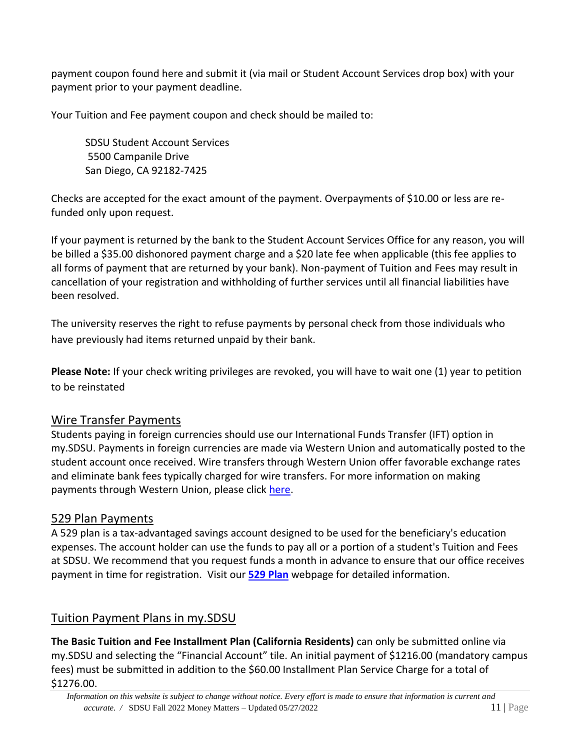payment coupon found here and submit it (via mail or Student Account Services drop box) with your payment prior to your payment deadline.

Your Tuition and Fee payment coupon and check should be mailed to:

SDSU Student Account Services 5500 Campanile Drive San Diego, CA 92182-7425

Checks are accepted for the exact amount of the payment. Overpayments of \$10.00 or less are refunded only upon request.

If your payment is returned by the bank to the Student Account Services Office for any reason, you will be billed a \$35.00 dishonored payment charge and a \$20 late fee when applicable (this fee applies to all forms of payment that are returned by your bank). Non-payment of Tuition and Fees may result in cancellation of your registration and withholding of further services until all financial liabilities have been resolved.

The university reserves the right to refuse payments by personal check from those individuals who have previously had items returned unpaid by their bank.

**Please Note:** If your check writing privileges are revoked, you will have to wait one (1) year to petition to be reinstated

### <span id="page-10-0"></span>Wire Transfer Payments

Students paying in foreign currencies should use our International Funds Transfer (IFT) option in my.SDSU. Payments in foreign currencies are made via Western Union and automatically posted to the student account once received. Wire transfers through Western Union offer favorable exchange rates and eliminate bank fees typically charged for wire transfers. For more information on making payments through Western Union, please click [here.](https://www.youtube.com/watch?v=8Q9eqyw_lxY)

### 529 Plan Payments

A 529 plan is a tax-advantaged savings account designed to be used for the beneficiary's education expenses. The account holder can use the funds to pay all or a portion of a student's Tuition and Fees at SDSU. We recommend that you request funds a month in advance to ensure that our office receives payment in time for registration.Visit our **[529 Plan](https://bfa.sdsu.edu/financial/student/529-plan)** webpage for detailed information.

### <span id="page-10-1"></span>Tuition Payment Plans in my.SDSU

**The Basic Tuition and Fee Installment Plan (California Residents)** can only be submitted online via my.SDSU and selecting the "Financial Account" tile. [An initial payment](https://commerce.cashnet.com/cashnetf/SelfServe/eBillLogin.aspx?client=SDSUPROD) of \$1216.00 (mandatory campus fees) must be submitted in addition to the \$60.00 Installment Plan Service Charge for a total of \$1276.00.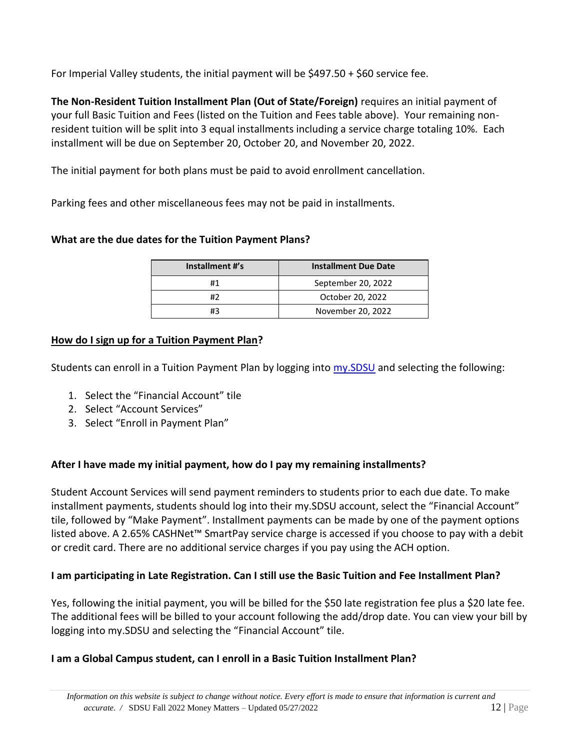For Imperial Valley students, the initial payment will be \$497.50 + \$60 service fee.

**The Non-Resident Tuition Installment Plan (Out of State/Foreign)** requires an initial payment of your full Basic Tuition and Fees (listed on the Tuition and Fees table above). Your remaining nonresident tuition will be split into 3 equal installments including a service charge totaling 10%. Each installment will be due on September 20, October 20, and November 20, 2022.

The initial payment for both plans must be paid to avoid enrollment cancellation.

Parking fees and other miscellaneous fees may not be paid in installments.

#### **What are the due dates for the Tuition Payment Plans?**

| Installment #'s | <b>Installment Due Date</b> |
|-----------------|-----------------------------|
|                 | September 20, 2022          |
| #2              | October 20, 2022            |
| #3              | November 20, 2022           |

#### **[How do I sign up for a](https://bfa.sdsu.edu/financial/student/installmentplans) Tuition Payment Plan?**

Students can enroll in a Tuition Payment Plan by logging into [my.SDSU](https://my.sdsu.edu/) and selecting the following:

- 1. Select the "Financial Account" tile
- 2. Select "Account Services"
- 3. Select "Enroll in Payment Plan"

#### **After I have made my initial payment, how do I pay my remaining installments?**

Student Account Services will send payment reminders to students prior to each due date. To make installment payments, students should log into their my.SDSU account, select the "Financial Account" tile, followed by "Make Payment". Installment payments can be made by one of the payment options listed above. A 2.65% CASHNet™ SmartPay service charge is accessed if you choose to pay with a debit or credit card. There are no additional service charges if you pay using the ACH option.

#### **I am participating in Late Registration. Can I still use the Basic Tuition and Fee Installment Plan?**

Yes, following the initial payment, you will be billed for the \$50 late registration fee plus a \$20 late fee. The additional fees will be billed to your account following the add/drop date. You can view your bill by logging into my.SDSU and selecting the "Financial Account" tile.

#### **I am a Global Campus student, can I enroll in a Basic Tuition Installment Plan?**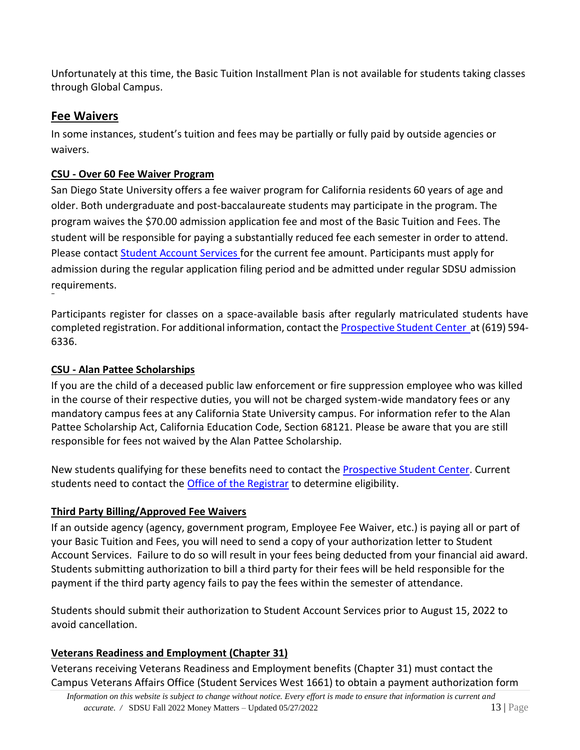Unfortunately at this time, the Basic Tuition Installment Plan is not available for students taking classes through Global Campus.

### <span id="page-12-0"></span>**Fee Waivers**

In some instances, student's tuition and fees may be partially or fully paid by outside agencies or waivers.

### **CSU - Over 60 Fee Waiver Program**

San Diego State University offers a fee waiver program for California residents 60 years of age and older. Both undergraduate and post-baccalaureate students may participate in the program. The program waives the \$70.00 admission application fee and most of the Basic Tuition and Fees. The student will be responsible for paying a substantially reduced fee each semester in order to attend. Please contact [Student Account Services](http://www.sdsu.edu/sas) for the current fee amount. Participants must apply for admission during the regular application filing period and be admitted under regular SDSU admission requirements.

Participants register for classes on a space-available basis after regularly matriculated students have completed registration. For additional information, contact the **Prospective Student Center** at (619) 594-6336.

### **CSU - Alan Pattee Scholarships**

If you are the child of a deceased public law enforcement or fire suppression employee who was killed in the course of their respective duties, you will not be charged system-wide mandatory fees or any mandatory campus fees at any California State University campus. For information refer to the Alan Pattee Scholarship Act, California Education Code, Section 68121. Please be aware that you are still responsible for fees not waived by the Alan Pattee Scholarship.

New students qualifying for these benefits need to contact the [Prospective Student Center.](http://arweb.sdsu.edu/es/admissions/contact.html) Current students need to contact the **Office of the Registrar** to determine eligibility.

#### **Third Party Billing/Approved Fee Waivers**

If an outside agency (agency, government program, Employee Fee Waiver, etc.) is paying all or part of your Basic Tuition and Fees, you will need to send a copy of your authorization letter to Student Account Services. Failure to do so will result in your fees being deducted from your financial aid award. Students submitting authorization to bill a third party for their fees will be held responsible for the payment if the third party agency fails to pay the fees within the semester of attendance.

Students should submit their authorization to Student Account Services prior to August 15, 2022 to avoid cancellation.

### **Veterans Readiness and Employment (Chapter 31)**

Veterans receiving Veterans Readiness and Employment benefits (Chapter 31) must contact the Campus Veterans Affairs Office (Student Services West 1661) to obtain a payment authorization form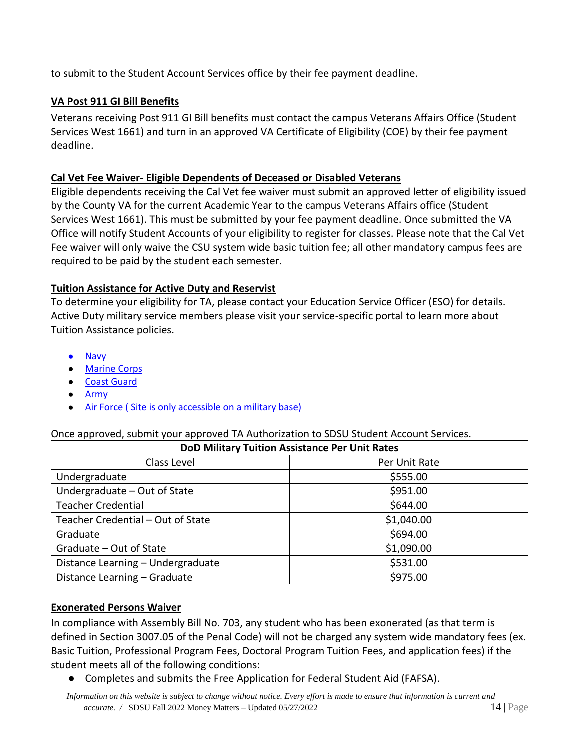to submit to the Student Account Services office by their fee payment deadline.

#### **VA Post 911 GI Bill Benefits**

Veterans receiving Post 911 GI Bill benefits must contact the campus Veterans Affairs Office (Student Services West 1661) and turn in an approved VA Certificate of Eligibility (COE) by their fee payment deadline.

#### **Cal Vet Fee Waiver- Eligible Dependents of Deceased or Disabled Veterans**

Eligible dependents receiving the Cal Vet fee waiver must submit an approved letter of eligibility issued by the County VA for the current Academic Year to the campus Veterans Affairs office (Student Services West 1661). This must be submitted by your fee payment deadline. Once submitted the VA Office will notify Student Accounts of your eligibility to register for classes. Please note that the Cal Vet Fee waiver will only waive the CSU system wide basic tuition fee; all other mandatory campus fees are required to be paid by the student each semester.

#### **Tuition Assistance for Active Duty and Reservist**

To determine your eligibility for TA, please contact your Education Service Officer (ESO) for details. Active Duty military service members please visit your service-specific portal to learn more about Tuition Assistance policies.

- [Navy](https://www.navycollege.navy.mil/)
- [Marine Corps](https://www.usmc-mccs.org/articles/how-do-i-apply-for-tuition-assistance/)
- [Coast Guard](https://www.forcecom.uscg.mil/Our-Organization/FORCECOM-UNITS/ETQC/Voluntary-Education/Active-Duty/)
- [Army](https://www.armyignited.com/)
- [Air Force \( Site is only accessible on a military base\)](https://federation.prod.cce.af.mil/sso/authenticate/?u=https%3a%2f%2fwww.my.af.mil%2fgcss-af%2fUSAF%2fep%2fhome.do&m=GET&r=t)

#### Once approved, submit your approved TA Authorization to SDSU Student Account Services.

| <b>DoD Military Tuition Assistance Per Unit Rates</b> |               |  |  |
|-------------------------------------------------------|---------------|--|--|
| Class Level                                           | Per Unit Rate |  |  |
| Undergraduate                                         | \$555.00      |  |  |
| Undergraduate - Out of State                          | \$951.00      |  |  |
| <b>Teacher Credential</b>                             | \$644.00      |  |  |
| Teacher Credential - Out of State                     | \$1,040.00    |  |  |
| Graduate                                              | \$694.00      |  |  |
| Graduate - Out of State                               | \$1,090.00    |  |  |
| Distance Learning - Undergraduate                     | \$531.00      |  |  |
| Distance Learning - Graduate                          | \$975.00      |  |  |

#### **Exonerated Persons Waiver**

In compliance with Assembly Bill No. 703, any student who has been exonerated (as that term is defined in Section 3007.05 of the Penal Code) will not be charged any system wide mandatory fees (ex. Basic Tuition, Professional Program Fees, Doctoral Program Tuition Fees, and application fees) if the student meets all of the following conditions:

● Completes and submits the Free Application for Federal Student Aid (FAFSA).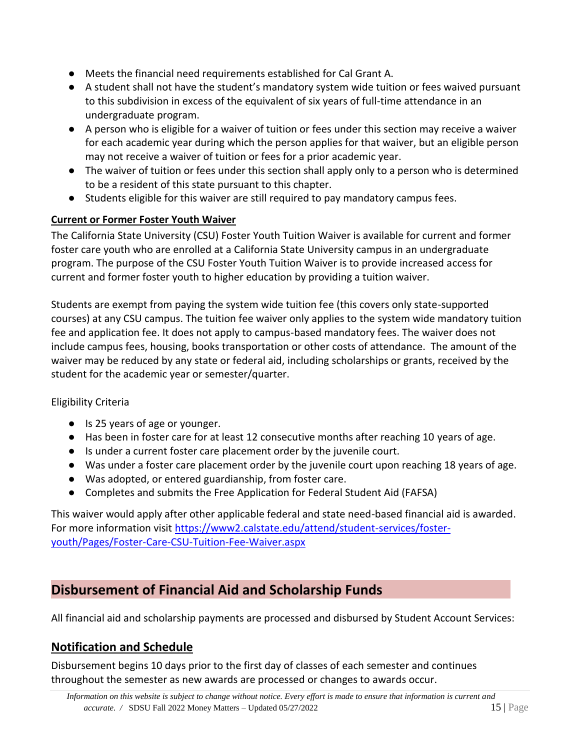- Meets the financial need requirements established for Cal Grant A.
- A student shall not have the student's mandatory system wide tuition or fees waived pursuant to this subdivision in excess of the equivalent of six years of full-time attendance in an undergraduate program.
- A person who is eligible for a waiver of tuition or fees under this section may receive a waiver for each academic year during which the person applies for that waiver, but an eligible person may not receive a waiver of tuition or fees for a prior academic year.
- The waiver of tuition or fees under this section shall apply only to a person who is determined to be a resident of this state pursuant to this chapter.
- Students eligible for this waiver are still required to pay mandatory campus fees.

#### **Current or Former Foster Youth Waiver**

The California State University (CSU) Foster Youth Tuition Waiver is available for current and former foster care youth who are enrolled at a California State University campus in an undergraduate program. The purpose of the CSU Foster Youth Tuition Waiver is to provide increased access for current and former foster youth to higher education by providing a tuition waiver.

Students are exempt from paying the system wide tuition fee (this covers only state-supported courses) at any CSU campus. The tuition fee waiver only applies to the system wide mandatory tuition fee and application fee. It does not apply to campus-based mandatory fees. The waiver does not include campus fees, housing, books transportation or other costs of attendance. The amount of the waiver may be reduced by any state or federal aid, including scholarships or grants, received by the student for the academic year or semester/quarter.

#### Eligibility Criteria

- Is 25 years of age or younger.
- Has been in foster care for at least 12 consecutive months after reaching 10 years of age.
- Is under a current foster care placement order by the juvenile court.
- Was under a foster care placement order by the juvenile court upon reaching 18 years of age.
- Was adopted, or entered guardianship, from foster care.
- Completes and submits the Free Application for Federal Student Aid (FAFSA)

<span id="page-14-0"></span>This waiver would apply after other applicable federal and state need-based financial aid is awarded. For more information visit [https://www2.calstate.edu/attend/student-services/foster](https://www2.calstate.edu/attend/student-services/foster-youth/Pages/Foster-Care-CSU-Tuition-Fee-Waiver.aspx)[youth/Pages/Foster-Care-CSU-Tuition-Fee-Waiver.aspx](https://www2.calstate.edu/attend/student-services/foster-youth/Pages/Foster-Care-CSU-Tuition-Fee-Waiver.aspx)

### <span id="page-14-1"></span>**Disbursement of Financial Aid and Scholarship Funds**

All financial aid and scholarship payments are processed and disbursed by Student Account Services:

### <span id="page-14-2"></span>**Notification and Schedule**

Disbursement begins 10 days prior to the first day of classes of each semester and continues throughout the semester as new awards are processed or changes to awards occur.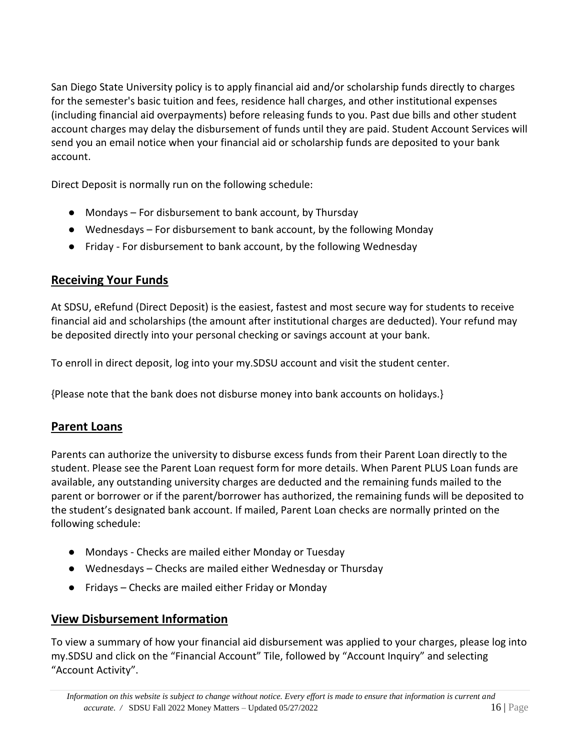San Diego State University policy is to apply financial aid and/or scholarship funds directly to charges for the semester's basic tuition and fees, residence hall charges, and other institutional expenses (including financial aid overpayments) before releasing funds to you. Past due bills and other student account charges may delay the disbursement of funds until they are paid. Student Account Services will send you an email notice when your financial aid or scholarship funds are deposited to your bank account.

Direct Deposit is normally run on the following schedule:

- Mondays For disbursement to bank account, by Thursday
- Wednesdays For disbursement to bank account, by the following Monday
- Friday For disbursement to bank account, by the following Wednesday

### <span id="page-15-0"></span>**Receiving Your Funds**

At SDSU, eRefund (Direct Deposit) is the easiest, fastest and most secure way for students to receive financial aid and scholarships (the amount after institutional charges are deducted). Your refund may be deposited directly into your personal checking or savings account at your bank.

To enroll in direct deposit, log into your my.SDSU account and visit the student center.

{Please note that the bank does not disburse money into bank accounts on holidays.}

### <span id="page-15-1"></span>**Parent Loans**

Parents can authorize the university to disburse excess funds from their Parent Loan directly to the student. Please see the Parent Loan request form for more details. When Parent PLUS Loan funds are available, any outstanding university charges are deducted and the remaining funds mailed to the parent or borrower or if the parent/borrower has authorized, the remaining funds will be deposited to the student's designated bank account. If mailed, Parent Loan checks are normally printed on the following schedule:

- Mondays Checks are mailed either Monday or Tuesday
- Wednesdays Checks are mailed either Wednesday or Thursday
- Fridays Checks are mailed either Friday or Monday

### <span id="page-15-2"></span>**View Disbursement Information**

To view a summary of how your financial aid disbursement was applied to your charges, please log into my.SDSU and click on the "Financial Account" Tile, followed by "Account Inquiry" and selecting "Account Activity".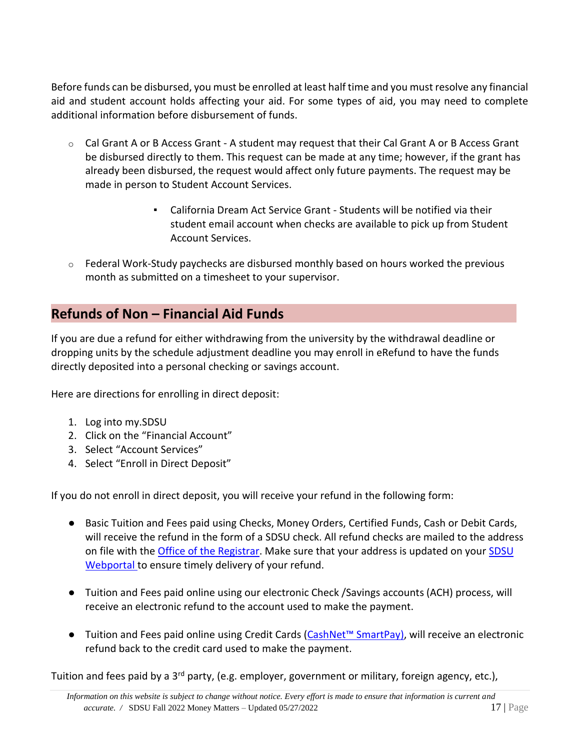Before funds can be disbursed, you must be enrolled at least half time and you must resolve any financial aid and student account holds affecting your aid. For some types of aid, you may need to complete additional information before disbursement of funds.

- $\circ$  Cal Grant A or B Access Grant A student may request that their Cal Grant A or B Access Grant be disbursed directly to them. This request can be made at any time; however, if the grant has already been disbursed, the request would affect only future payments. The request may be made in person to Student Account Services.
	- California Dream Act Service Grant Students will be notified via their student email account when checks are available to pick up from Student Account Services.
- $\circ$  Federal Work-Study paychecks are disbursed monthly based on hours worked the previous month as submitted on a timesheet to your supervisor.

### <span id="page-16-0"></span>**Refunds of Non – Financial Aid Funds**

If you are due a refund for either withdrawing from the university by the withdrawal deadline or dropping units by the schedule adjustment deadline you may enroll in eRefund to have the funds directly deposited into a personal checking or savings account.

Here are directions for enrolling in direct deposit:

- 1. Log into my.SDSU
- 2. Click on the "Financial Account"
- 3. Select "Account Services"
- 4. Select "Enroll in Direct Deposit"

If you do not enroll in direct deposit, you will receive your refund in the following form:

- Basic Tuition and Fees paid using Checks, Money Orders, Certified Funds, Cash or Debit Cards, will receive the refund in the form of a SDSU check. All refund checks are mailed to the address on file with the [Office of the Registrar.](http://www.sdsu.edu/registrar) Make sure that your address is updated on your [SDSU](https://sunspot.sdsu.edu/pls/webapp/web_menu.login/) [Webportal t](https://sunspot.sdsu.edu/pls/webapp/web_menu.login/)o ensure timely delivery of your refund.
- Tuition and Fees paid online using our electronic Check /Savings accounts (ACH) process, will receive an electronic refund to the account used to make the payment.
- Tuition and Fees paid online using Credit Cards (CashNet<sup>™</sup> SmartPay), will receive an electronic refund back to the credit card used to make the payment.

Tuition and fees paid by a 3<sup>rd</sup> party, (e.g. employer, government or military, foreign agency, etc.),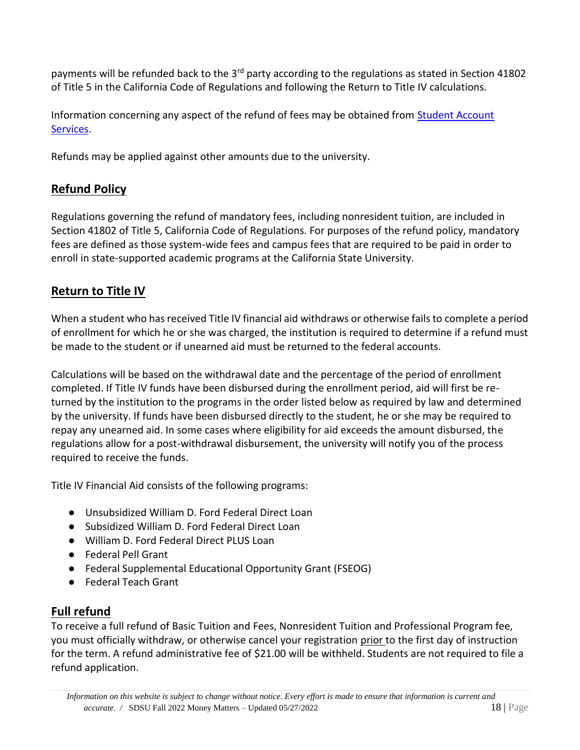payments will be refunded back to the 3<sup>rd</sup> party according to the regulations as stated in Section 41802 of Title 5 in the California Code of Regulations and following the Return to Title IV calculations.

Information concerning any aspect of the refund of fees may be obtained from [Student Account](http://www.sdsu.edu/sas) [Services.](http://www.sdsu.edu/sas)

Refunds may be applied against other amounts due to the university.

### <span id="page-17-0"></span>**Refund Policy**

Regulations governing the refund of mandatory fees, including nonresident tuition, are included in Section 41802 of Title 5, California Code of Regulations. For purposes of the refund policy, mandatory fees are defined as those system-wide fees and campus fees that are required to be paid in order to enroll in state-supported academic programs at the California State University.

### <span id="page-17-1"></span>**Return to Title IV**

When a student who has received Title IV financial aid withdraws or otherwise fails to complete a period of enrollment for which he or she was charged, the institution is required to determine if a refund must be made to the student or if unearned aid must be returned to the federal accounts.

Calculations will be based on the withdrawal date and the percentage of the period of enrollment completed. If Title IV funds have been disbursed during the enrollment period, aid will first be returned by the institution to the programs in the order listed below as required by law and determined by the university. If funds have been disbursed directly to the student, he or she may be required to repay any unearned aid. In some cases where eligibility for aid exceeds the amount disbursed, the regulations allow for a post-withdrawal disbursement, the university will notify you of the process required to receive the funds.

Title IV Financial Aid consists of the following programs:

- Unsubsidized William D. Ford Federal Direct Loan
- Subsidized William D. Ford Federal Direct Loan
- William D. Ford Federal Direct PLUS Loan
- Federal Pell Grant
- Federal Supplemental Educational Opportunity Grant (FSEOG)
- Federal Teach Grant

## <span id="page-17-2"></span>**Full refund**

To receive a full refund of Basic Tuition and Fees, Nonresident Tuition and Professional Program fee, you must officially withdraw, or otherwise cancel your registration prior to the first day of instruction for the term. A refund administrative fee of \$21.00 will be withheld. Students are not required to file a refund application.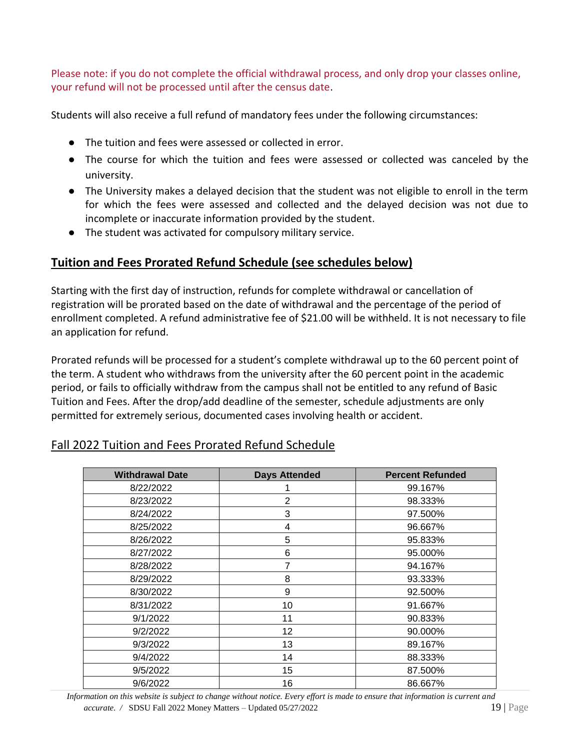Please note: if you do not complete the official withdrawal process, and only drop your classes online, your refund will not be processed until after the census date.

Students will also receive a full refund of mandatory fees under the following circumstances:

- The tuition and fees were assessed or collected in error.
- The course for which the tuition and fees were assessed or collected was canceled by the university.
- The University makes a delayed decision that the student was not eligible to enroll in the term for which the fees were assessed and collected and the delayed decision was not due to incomplete or inaccurate information provided by the student.
- The student was activated for compulsory military service.

### **Tuition and Fees Prorated Refund Schedule (see schedules below)**

Starting with the first day of instruction, refunds for complete withdrawal or cancellation of registration will be prorated based on the date of withdrawal and the percentage of the period of enrollment completed. A refund administrative fee of \$21.00 will be withheld. It is not necessary to file an application for refund.

Prorated refunds will be processed for a student's complete withdrawal up to the 60 percent point of the term. A student who withdraws from the university after the 60 percent point in the academic period, or fails to officially withdraw from the campus shall not be entitled to any refund of Basic Tuition and Fees. After the drop/add deadline of the semester, schedule adjustments are only permitted for extremely serious, documented cases involving health or accident.

#### <span id="page-18-0"></span>Fall 2022 Tuition and Fees Prorated Refund Schedule

| <b>Withdrawal Date</b> | <b>Days Attended</b> | <b>Percent Refunded</b> |
|------------------------|----------------------|-------------------------|
| 8/22/2022              |                      | 99.167%                 |
| 8/23/2022              | $\overline{2}$       | 98.333%                 |
| 8/24/2022              | 3                    | 97.500%                 |
| 8/25/2022              | 4                    | 96.667%                 |
| 8/26/2022              | 5                    | 95.833%                 |
| 8/27/2022              | 6                    | 95.000%                 |
| 8/28/2022              |                      | 94.167%                 |
| 8/29/2022              | 8                    | 93.333%                 |
| 8/30/2022              | 9                    | 92.500%                 |
| 8/31/2022              | 10                   | 91.667%                 |
| 9/1/2022               | 11                   | 90.833%                 |
| 9/2/2022               | 12                   | 90.000%                 |
| 9/3/2022               | 13                   | 89.167%                 |
| 9/4/2022               | 14                   | 88.333%                 |
| 9/5/2022               | 15                   | 87.500%                 |
| 9/6/2022               | 16                   | 86.667%                 |

 *Information on this website is subject to change without notice. Every effort is made to ensure that information is current and accurate. /* SDSU Fall 2022 Money Matters – Updated 05/27/2022 19 | Page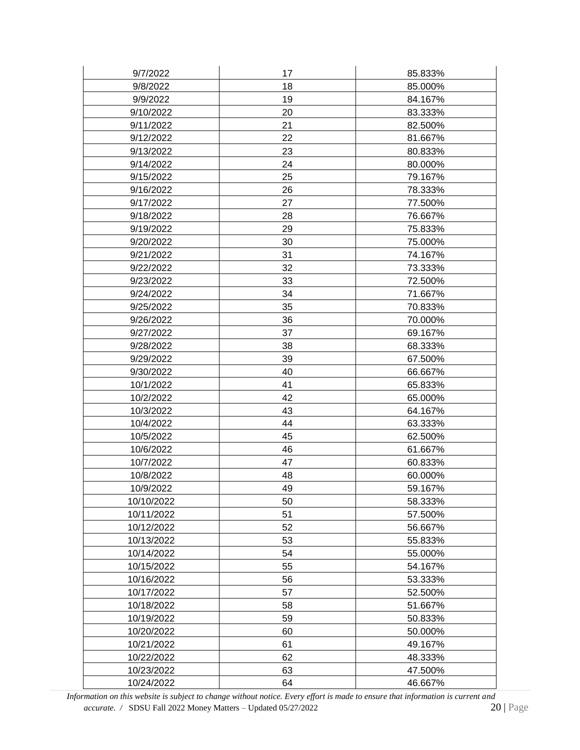| 9/7/2022   | 17 | 85.833% |
|------------|----|---------|
| 9/8/2022   | 18 | 85.000% |
| 9/9/2022   | 19 | 84.167% |
| 9/10/2022  | 20 | 83.333% |
| 9/11/2022  | 21 | 82.500% |
| 9/12/2022  | 22 | 81.667% |
| 9/13/2022  | 23 | 80.833% |
| 9/14/2022  | 24 | 80.000% |
| 9/15/2022  | 25 | 79.167% |
| 9/16/2022  | 26 | 78.333% |
| 9/17/2022  | 27 | 77.500% |
| 9/18/2022  | 28 | 76.667% |
| 9/19/2022  | 29 | 75.833% |
| 9/20/2022  | 30 | 75.000% |
| 9/21/2022  | 31 | 74.167% |
| 9/22/2022  | 32 | 73.333% |
| 9/23/2022  | 33 | 72.500% |
| 9/24/2022  | 34 | 71.667% |
| 9/25/2022  | 35 | 70.833% |
| 9/26/2022  | 36 | 70.000% |
| 9/27/2022  | 37 | 69.167% |
| 9/28/2022  | 38 | 68.333% |
| 9/29/2022  | 39 | 67.500% |
| 9/30/2022  | 40 | 66.667% |
| 10/1/2022  | 41 | 65.833% |
| 10/2/2022  | 42 | 65.000% |
| 10/3/2022  | 43 | 64.167% |
| 10/4/2022  | 44 | 63.333% |
| 10/5/2022  | 45 | 62.500% |
| 10/6/2022  | 46 | 61.667% |
| 10/7/2022  | 47 | 60.833% |
| 10/8/2022  | 48 | 60.000% |
| 10/9/2022  | 49 | 59.167% |
| 10/10/2022 | 50 | 58.333% |
| 10/11/2022 | 51 | 57.500% |
| 10/12/2022 | 52 | 56.667% |
| 10/13/2022 | 53 | 55.833% |
| 10/14/2022 | 54 | 55.000% |
| 10/15/2022 | 55 | 54.167% |
| 10/16/2022 | 56 | 53.333% |
| 10/17/2022 | 57 | 52.500% |
| 10/18/2022 | 58 | 51.667% |
| 10/19/2022 | 59 | 50.833% |
| 10/20/2022 | 60 | 50.000% |
| 10/21/2022 | 61 | 49.167% |
| 10/22/2022 | 62 | 48.333% |
| 10/23/2022 | 63 | 47.500% |
| 10/24/2022 | 64 | 46.667% |

*Information on this website is subject to change without notice. Every effort is made to ensure that information is current and accurate.* / **SDSU** Fall 2022 **Money Matters** – **Updated 05/27/2022** *Page accurate. / SDSU Fall 2022 Money Matters - Updated 05/27/2022*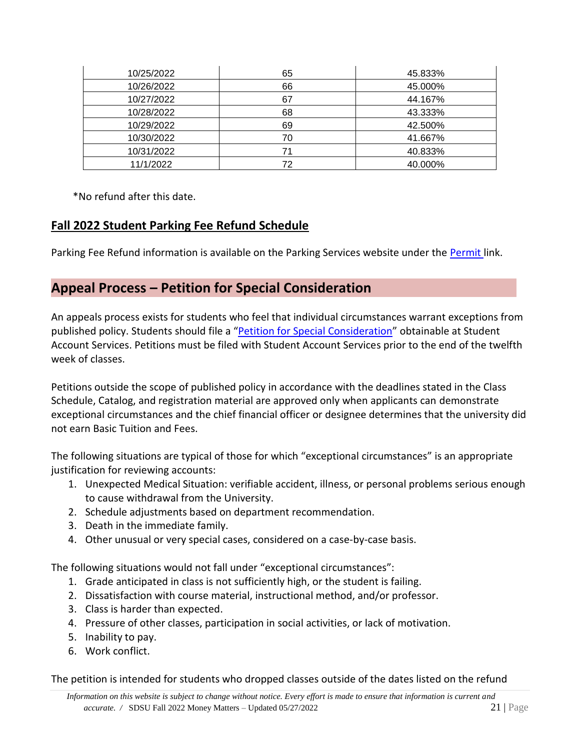| 10/25/2022 | 65 | 45.833% |
|------------|----|---------|
| 10/26/2022 | 66 | 45.000% |
| 10/27/2022 | 67 | 44.167% |
| 10/28/2022 | 68 | 43.333% |
| 10/29/2022 | 69 | 42.500% |
| 10/30/2022 | 70 | 41.667% |
| 10/31/2022 |    | 40.833% |
| 11/1/2022  | 72 | 40.000% |

\*No refund after this date.

### <span id="page-20-0"></span>**Fall 2022 Student Parking Fee Refund Schedule**

Parking Fee Refund information is available on the Parking Services website under the [Permit](http://go.sdsu.edu/dps/permits.aspx) link.

### <span id="page-20-1"></span>**Appeal Process – Petition for Special Consideration**

An appeals process exists for students who feel that individual circumstances warrant exceptions from published policy. Students should file a "[Petition for Special Consideration](https://docs.google.com/forms/d/e/1FAIpQLSdrFiyAL6txD3Ecy1J568vt2crqJ8BQckUUqGPJhMxYMHJc8A/viewform)" obtainable at Student Account Services. Petitions must be filed with Student Account Services prior to the end of the twelfth week of classes.

Petitions outside the scope of published policy in accordance with the deadlines stated in the Class Schedule, Catalog, and registration material are approved only when applicants can demonstrate exceptional circumstances and the chief financial officer or designee determines that the university did not earn Basic Tuition and Fees.

The following situations are typical of those for which "exceptional circumstances" is an appropriate justification for reviewing accounts:

- 1. Unexpected Medical Situation: verifiable accident, illness, or personal problems serious enough to cause withdrawal from the University.
- 2. Schedule adjustments based on department recommendation.
- 3. Death in the immediate family.
- 4. Other unusual or very special cases, considered on a case-by-case basis.

The following situations would not fall under "exceptional circumstances":

- 1. Grade anticipated in class is not sufficiently high, or the student is failing.
- 2. Dissatisfaction with course material, instructional method, and/or professor.
- 3. Class is harder than expected.
- 4. Pressure of other classes, participation in social activities, or lack of motivation.
- 5. Inability to pay.
- 6. Work conflict.

The petition is intended for students who dropped classes outside of the dates listed on the refund